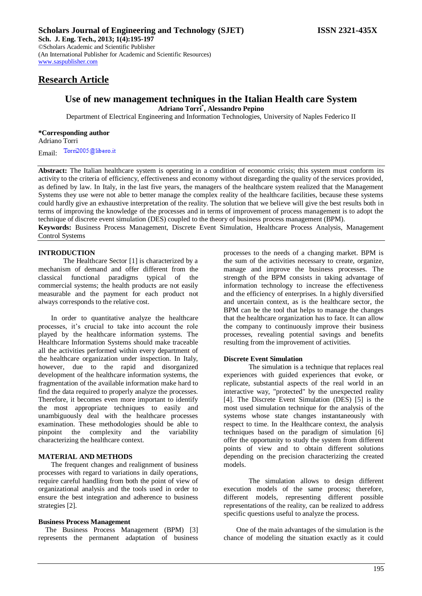# **Research Article**

[www.saspublisher.com](http://www.saspublisher.com/)

## **Use of new management techniques in the Italian Health care System Adriano Torri\* , Alessandro Pepino**

Department of Electrical Engineering and Information Technologies, University of Naples Federico II

#### **\*Corresponding author**

Adriano Torri Email: Torri2005@libero.it

Abstract: The Italian healthcare system is operating in a condition of economic crisis; this system must conform its activity to the criteria of efficiency, effectiveness and economy without disregarding the quality of the services provided, as defined by law. In Italy, in the last five years, the managers of the healthcare system realized that the Management Systems they use were not able to better manage the complex reality of the healthcare facilities, because these systems could hardly give an exhaustive interpretation of the reality. The solution that we believe will give the best results both in terms of improving the knowledge of the processes and in terms of improvement of process management is to adopt the technique of discrete event simulation (DES) coupled to the theory of business process management (BPM).

**Keywords:** Business Process Management, Discrete Event Simulation, Healthcare Process Analysis, Management Control Systems

## **INTRODUCTION**

The Healthcare Sector [1] is characterized by a mechanism of demand and offer different from the classical functional paradigms typical of the commercial systems; the health products are not easily measurable and the payment for each product not always corresponds to the relative cost.

In order to quantitative analyze the healthcare processes, it's crucial to take into account the role played by the healthcare information systems. The Healthcare Information Systems should make traceable all the activities performed within every department of the healthcare organization under inspection. In Italy, however, due to the rapid and disorganized development of the healthcare information systems, the fragmentation of the available information make hard to find the data required to properly analyze the processes. Therefore, it becomes even more important to identify the most appropriate techniques to easily and unambiguously deal with the healthcare processes examination. These methodologies should be able to pinpoint the complexity and characterizing the healthcare context.

### **MATERIAL AND METHODS**

The frequent changes and realignment of business processes with regard to variations in daily operations, require careful handling from both the point of view of organizational analysis and the tools used in order to ensure the best integration and adherence to business strategies [2].

#### **Business Process Management**

The Business Process Management (BPM) [3] represents the permanent adaptation of business

processes to the needs of a changing market. BPM is the sum of the activities necessary to create, organize, manage and improve the business processes. The strength of the BPM consists in taking advantage of information technology to increase the effectiveness and the efficiency of enterprises. In a highly diversified and uncertain context, as is the healthcare sector, the BPM can be the tool that helps to manage the changes that the healthcare organization has to face. It can allow the company to continuously improve their business processes, revealing potential savings and benefits resulting from the improvement of activities.

## **Discrete Event Simulation**

The simulation is a technique that replaces real experiences with guided experiences that evoke, or replicate, substantial aspects of the real world in an interactive way, "protected" by the unexpected reality [4]. The Discrete Event Simulation (DES) [5] is the most used simulation technique for the analysis of the systems whose state changes instantaneously with respect to time. In the Healthcare context, the analysis techniques based on the paradigm of simulation [6] offer the opportunity to study the system from different points of view and to obtain different solutions depending on the precision characterizing the created models.

The simulation allows to design different execution models of the same process; therefore, different models, representing different possible representations of the reality, can be realized to address specific questions useful to analyze the process.

One of the main advantages of the simulation is the chance of modeling the situation exactly as it could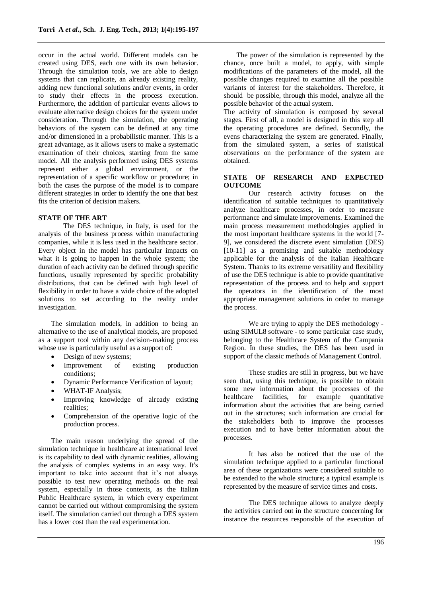occur in the actual world. Different models can be created using DES, each one with its own behavior. Through the simulation tools, we are able to design systems that can replicate, an already existing reality, adding new functional solutions and/or events, in order to study their effects in the process execution. Furthermore, the addition of particular events allows to evaluate alternative design choices for the system under consideration. Through the simulation, the operating behaviors of the system can be defined at any time and/or dimensioned in a probabilistic manner. This is a great advantage, as it allows users to make a systematic examination of their choices, starting from the same model. All the analysis performed using DES systems represent either a global environment, or the representation of a specific workflow or procedure; in both the cases the purpose of the model is to compare different strategies in order to identify the one that best fits the criterion of decision makers.

## **STATE OF THE ART**

The DES technique, in Italy, is used for the analysis of the business process within manufacturing companies, while it is less used in the healthcare sector. Every object in the model has particular impacts on what it is going to happen in the whole system; the duration of each activity can be defined through specific functions, usually represented by specific probability distributions, that can be defined with high level of flexibility in order to have a wide choice of the adopted solutions to set according to the reality under investigation.

The simulation models, in addition to being an alternative to the use of analytical models, are proposed as a support tool within any decision-making process whose use is particularly useful as a support of:

- Design of new systems;
- Improvement of existing production conditions;
- Dynamic Performance Verification of layout;
- WHAT-IF Analysis;
- Improving knowledge of already existing realities;
- Comprehension of the operative logic of the production process.

The main reason underlying the spread of the simulation technique in healthcare at international level is its capability to deal with dynamic realities, allowing the analysis of complex systems in an easy way. It's important to take into account that it's not always possible to test new operating methods on the real system, especially in those contexts, as the Italian Public Healthcare system, in which every experiment cannot be carried out without compromising the system itself. The simulation carried out through a DES system has a lower cost than the real experimentation.

The power of the simulation is represented by the chance, once built a model, to apply, with simple modifications of the parameters of the model, all the possible changes required to examine all the possible variants of interest for the stakeholders. Therefore, it should be possible, through this model, analyze all the possible behavior of the actual system.

The activity of simulation is composed by several stages. First of all, a model is designed in this step all the operating procedures are defined. Secondly, the evens characterizing the system are generated. Finally, from the simulated system, a series of statistical observations on the performance of the system are obtained.

## **STATE OF RESEARCH AND EXPECTED OUTCOME**

Our research activity focuses on the identification of suitable techniques to quantitatively analyze healthcare processes, in order to measure performance and simulate improvements. Examined the main process measurement methodologies applied in the most important healthcare systems in the world [7- 9], we considered the discrete event simulation (DES) [10-11] as a promising and suitable methodology applicable for the analysis of the Italian Healthcare System. Thanks to its extreme versatility and flexibility of use the DES technique is able to provide quantitative representation of the process and to help and support the operators in the identification of the most appropriate management solutions in order to manage the process.

We are trying to apply the DES methodology using SIMUL8 software - to some particular case study, belonging to the Healthcare System of the Campania Region. In these studies, the DES has been used in support of the classic methods of Management Control.

These studies are still in progress, but we have seen that, using this technique, is possible to obtain some new information about the processes of the healthcare facilities, for example quantitative information about the activities that are being carried out in the structures; such information are crucial for the stakeholders both to improve the processes execution and to have better information about the processes.

It has also be noticed that the use of the simulation technique applied to a particular functional area of these organizations were considered suitable to be extended to the whole structure; a typical example is represented by the measure of service times and costs.

The DES technique allows to analyze deeply the activities carried out in the structure concerning for instance the resources responsible of the execution of